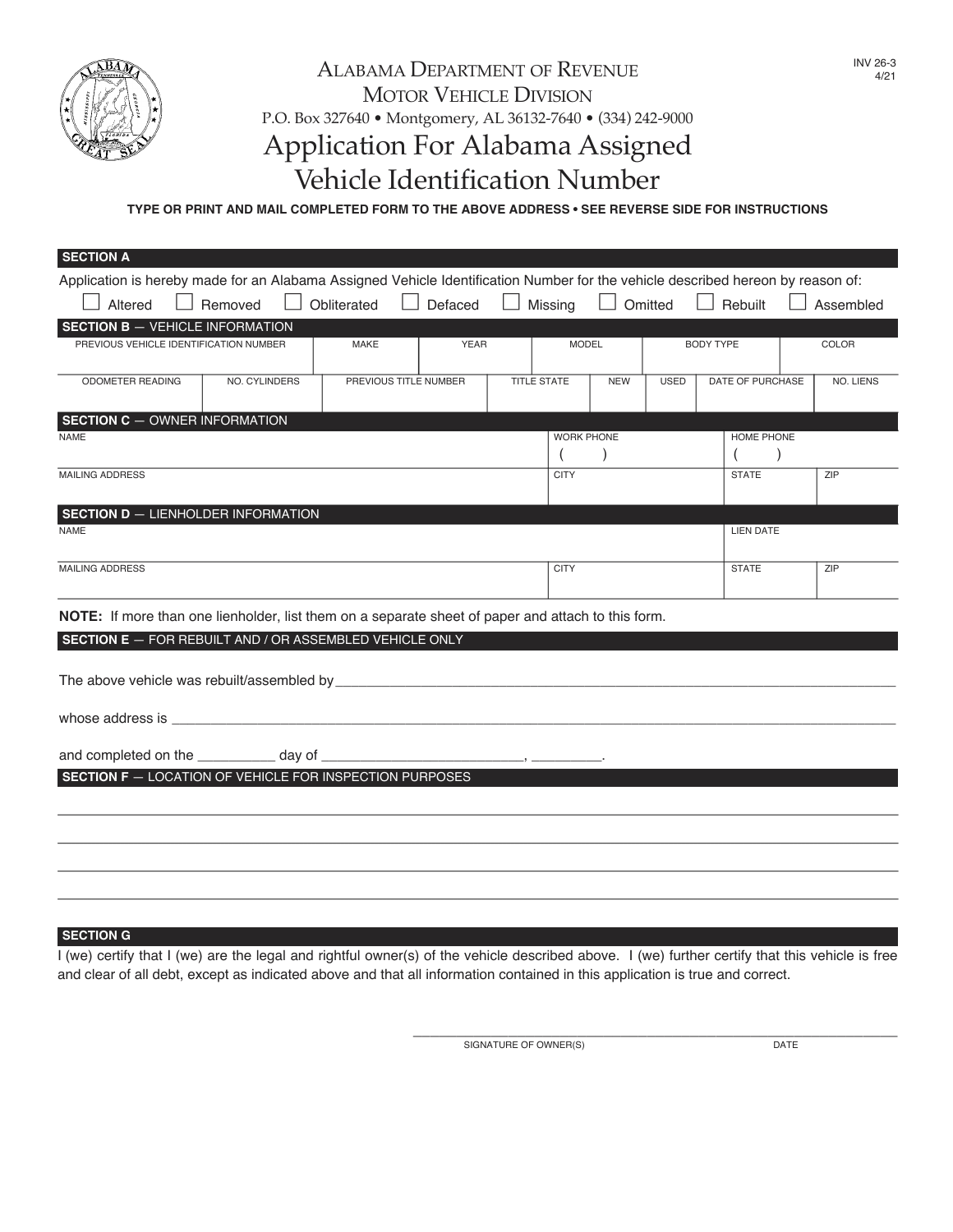

# ALABAMA DEPARTMENT OF REVENUE MOTOR VEHICLE DIVISION P.O. Box 327640 • Montgomery, AL 36132-7640 • (334) 242-9000 Application For Alabama Assigned Vehicle Identification Number

**TYPE OR PRINT AND MAIL COMPLETED FORM TO THE ABOVE ADDRESS • SEE REVERSE SIDE FOR INSTRUCTIONS**

|                                                       |                                                          |                                                                                                                                                                                                      |             |                                              |                   |                                                                                                                   |                                               | Assembled                                                                                                                                                               |  |  |
|-------------------------------------------------------|----------------------------------------------------------|------------------------------------------------------------------------------------------------------------------------------------------------------------------------------------------------------|-------------|----------------------------------------------|-------------------|-------------------------------------------------------------------------------------------------------------------|-----------------------------------------------|-------------------------------------------------------------------------------------------------------------------------------------------------------------------------|--|--|
|                                                       |                                                          |                                                                                                                                                                                                      |             |                                              |                   |                                                                                                                   |                                               |                                                                                                                                                                         |  |  |
| PREVIOUS VEHICLE IDENTIFICATION NUMBER<br><b>MAKE</b> |                                                          | <b>MODEL</b>                                                                                                                                                                                         |             | <b>BODY TYPE</b>                             |                   | COLOR                                                                                                             |                                               |                                                                                                                                                                         |  |  |
| <b>ODOMETER READING</b><br>NO. CYLINDERS              |                                                          |                                                                                                                                                                                                      |             |                                              |                   |                                                                                                                   |                                               |                                                                                                                                                                         |  |  |
|                                                       |                                                          |                                                                                                                                                                                                      |             |                                              |                   |                                                                                                                   |                                               | NO. LIENS                                                                                                                                                               |  |  |
|                                                       |                                                          |                                                                                                                                                                                                      |             |                                              |                   |                                                                                                                   |                                               |                                                                                                                                                                         |  |  |
| <b>SECTION C - OWNER INFORMATION</b><br><b>NAME</b>   |                                                          |                                                                                                                                                                                                      |             |                                              | <b>WORK PHONE</b> |                                                                                                                   |                                               | HOME PHONE                                                                                                                                                              |  |  |
|                                                       |                                                          |                                                                                                                                                                                                      |             | $\left($                                     |                   |                                                                                                                   | $\left($<br>$\rightarrow$                     |                                                                                                                                                                         |  |  |
| <b>MAILING ADDRESS</b>                                |                                                          |                                                                                                                                                                                                      |             | <b>CITY</b>                                  |                   |                                                                                                                   | ZIP                                           |                                                                                                                                                                         |  |  |
|                                                       |                                                          |                                                                                                                                                                                                      |             |                                              |                   |                                                                                                                   |                                               |                                                                                                                                                                         |  |  |
|                                                       |                                                          |                                                                                                                                                                                                      |             |                                              |                   |                                                                                                                   |                                               |                                                                                                                                                                         |  |  |
|                                                       |                                                          |                                                                                                                                                                                                      |             |                                              |                   |                                                                                                                   |                                               |                                                                                                                                                                         |  |  |
|                                                       |                                                          |                                                                                                                                                                                                      | <b>CITY</b> |                                              |                   | <b>STATE</b>                                                                                                      | ZIP                                           |                                                                                                                                                                         |  |  |
|                                                       |                                                          |                                                                                                                                                                                                      |             |                                              |                   |                                                                                                                   |                                               |                                                                                                                                                                         |  |  |
|                                                       |                                                          |                                                                                                                                                                                                      |             |                                              |                   |                                                                                                                   |                                               |                                                                                                                                                                         |  |  |
|                                                       |                                                          |                                                                                                                                                                                                      |             |                                              |                   |                                                                                                                   |                                               |                                                                                                                                                                         |  |  |
|                                                       |                                                          |                                                                                                                                                                                                      |             |                                              |                   |                                                                                                                   |                                               |                                                                                                                                                                         |  |  |
|                                                       |                                                          |                                                                                                                                                                                                      |             |                                              |                   |                                                                                                                   |                                               |                                                                                                                                                                         |  |  |
|                                                       |                                                          |                                                                                                                                                                                                      |             |                                              |                   |                                                                                                                   |                                               |                                                                                                                                                                         |  |  |
|                                                       |                                                          |                                                                                                                                                                                                      |             |                                              |                   |                                                                                                                   |                                               |                                                                                                                                                                         |  |  |
|                                                       |                                                          |                                                                                                                                                                                                      |             |                                              |                   |                                                                                                                   |                                               |                                                                                                                                                                         |  |  |
|                                                       |                                                          |                                                                                                                                                                                                      |             |                                              |                   |                                                                                                                   |                                               |                                                                                                                                                                         |  |  |
|                                                       |                                                          |                                                                                                                                                                                                      |             |                                              |                   |                                                                                                                   |                                               |                                                                                                                                                                         |  |  |
|                                                       |                                                          |                                                                                                                                                                                                      |             |                                              |                   |                                                                                                                   |                                               |                                                                                                                                                                         |  |  |
|                                                       |                                                          |                                                                                                                                                                                                      |             |                                              |                   |                                                                                                                   |                                               |                                                                                                                                                                         |  |  |
|                                                       |                                                          |                                                                                                                                                                                                      |             |                                              |                   |                                                                                                                   |                                               |                                                                                                                                                                         |  |  |
|                                                       | Obliterated<br><b>SECTION D - LIENHOLDER INFORMATION</b> | $\overline{\phantom{a}}$<br><b>YEAR</b><br>PREVIOUS TITLE NUMBER<br><b>SECTION E</b> - FOR REBUILT AND / OR ASSEMBLED VEHICLE ONLY<br><b>SECTION F</b> - LOCATION OF VEHICLE FOR INSPECTION PURPOSES |             | Defaced $\Box$ Missing<br><b>TITLE STATE</b> | <b>NEW</b>        | <b>USED</b><br>NOTE: If more than one lienholder, list them on a separate sheet of paper and attach to this form. | $\Box$ Omitted $\Box$ Rebuilt<br><b>STATE</b> | Application is hereby made for an Alabama Assigned Vehicle Identification Number for the vehicle described hereon by reason of:<br>DATE OF PURCHASE<br><b>LIEN DATE</b> |  |  |

#### **SECTION G**

I (we) certify that I (we) are the legal and rightful owner(s) of the vehicle described above. I (we) further certify that this vehicle is free and clear of all debt, except as indicated above and that all information contained in this application is true and correct.

> \_\_\_\_\_\_\_\_\_\_\_\_\_\_\_\_\_\_\_\_\_\_\_\_\_\_\_\_\_\_\_\_\_\_\_\_\_\_\_\_\_\_\_\_\_\_\_\_\_\_\_\_\_\_\_\_ SIGNATURE OF OWNER(S) DATE